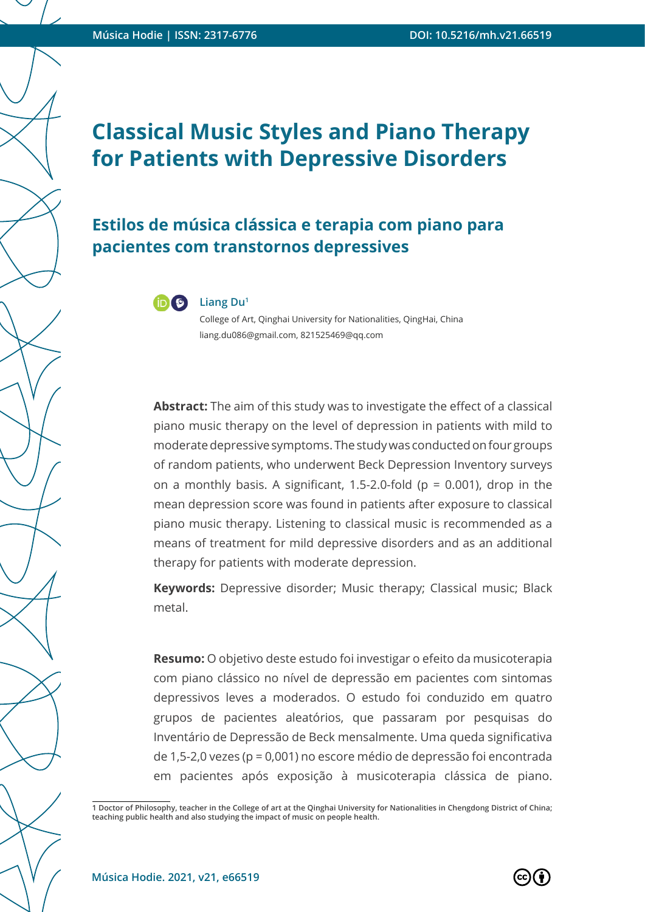### **Estilos de música clássica e terapia com piano para pacientes com transtornos depressives**



College of Art, Qinghai University for Nationalities, QingHai, China liang.du086@gmail.com, 821525469@qq.com

**Abstract:** The aim of this study was to investigate the effect of a classical piano music therapy on the level of depression in patients with mild to moderate depressive symptoms. The study was conducted on four groups of random patients, who underwent Beck Depression Inventory surveys on a monthly basis. A significant, 1.5-2.0-fold ( $p = 0.001$ ), drop in the mean depression score was found in patients after exposure to classical piano music therapy. Listening to classical music is recommended as a means of treatment for mild depressive disorders and as an additional therapy for patients with moderate depression.

**Keywords:** Depressive disorder; Music therapy; Classical music; Black metal.

**Resumo:** O objetivo deste estudo foi investigar o efeito da musicoterapia com piano clássico no nível de depressão em pacientes com sintomas depressivos leves a moderados. O estudo foi conduzido em quatro grupos de pacientes aleatórios, que passaram por pesquisas do Inventário de Depressão de Beck mensalmente. Uma queda significativa de 1,5-2,0 vezes (p = 0,001) no escore médio de depressão foi encontrada em pacientes após exposição à musicoterapia clássica de piano.

**<sup>1</sup> Doctor of Philosophy, teacher in the College of art at the Qinghai University for Nationalities in Chengdong District of China; teaching public health and also studying the impact of music on people health.**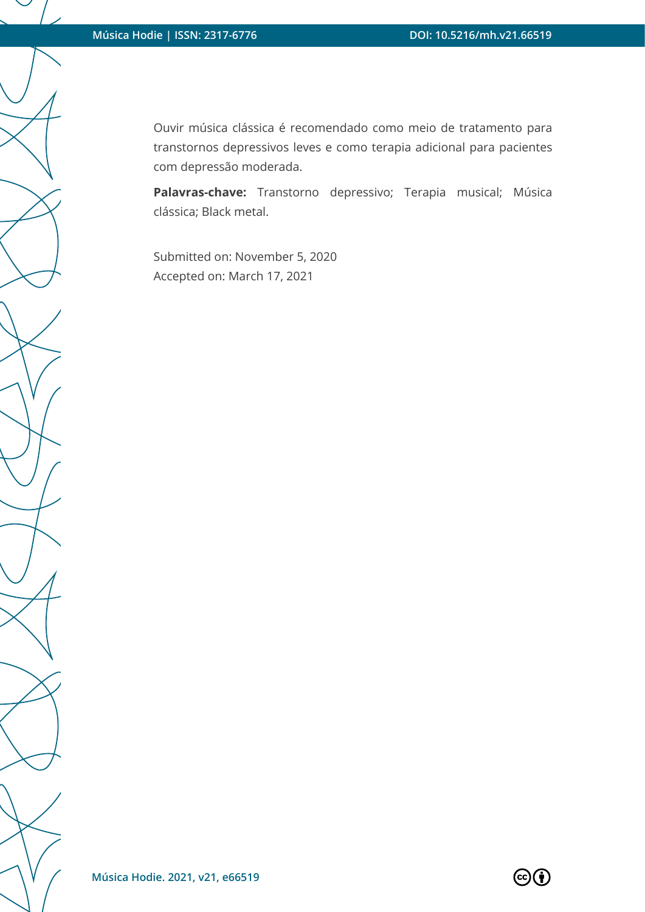Ouvir música clássica é recomendado como meio de tratamento para transtornos depressivos leves e como terapia adicional para pacientes com depressão moderada.

**Palavras-chave:** Transtorno depressivo; Terapia musical; Música clássica; Black metal.

Submitted on: November 5, 2020 Accepted on: March 17, 2021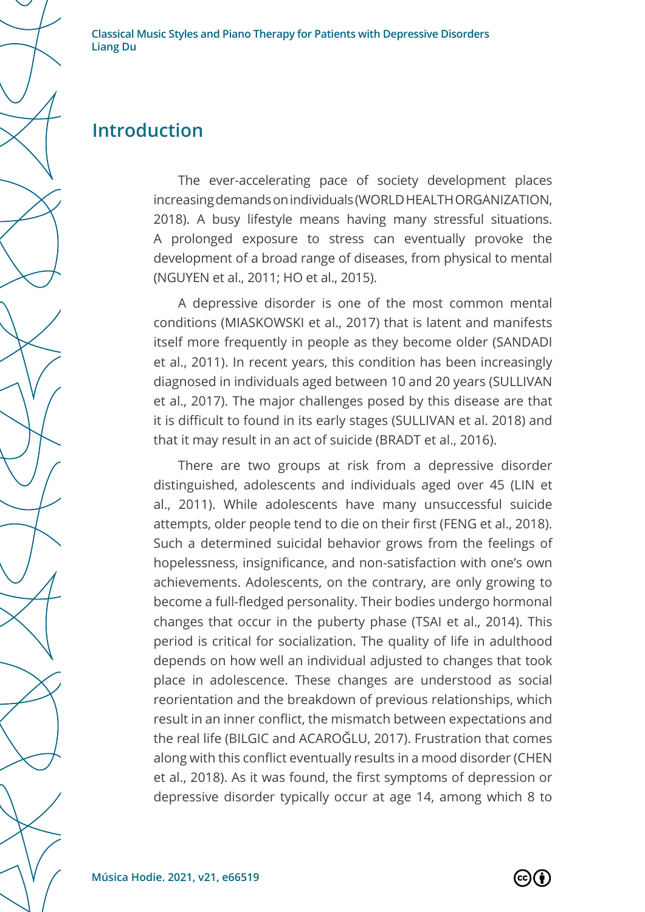### **Introduction**

The ever-accelerating pace of society development places increasing demands on individuals (WORLD HEALTH ORGANIZATION, 2018). A busy lifestyle means having many stressful situations. A prolonged exposure to stress can eventually provoke the development of a broad range of diseases, from physical to mental (NGUYEN et al., 2011; HO et al., 2015).

A depressive disorder is one of the most common mental conditions (MIASKOWSKI et al., 2017) that is latent and manifests itself more frequently in people as they become older (SANDADI et al., 2011). In recent years, this condition has been increasingly diagnosed in individuals aged between 10 and 20 years (SULLIVAN et al., 2017). The major challenges posed by this disease are that it is difficult to found in its early stages (SULLIVAN et al. 2018) and that it may result in an act of suicide (BRADT et al., 2016).

There are two groups at risk from a depressive disorder distinguished, adolescents and individuals aged over 45 (LIN et al., 2011). While adolescents have many unsuccessful suicide attempts, older people tend to die on their first (FENG et al., 2018). Such a determined suicidal behavior grows from the feelings of hopelessness, insignificance, and non-satisfaction with one's own achievements. Adolescents, on the contrary, are only growing to become a full-fledged personality. Their bodies undergo hormonal changes that occur in the puberty phase (TSAI et al., 2014). This period is critical for socialization. The quality of life in adulthood depends on how well an individual adjusted to changes that took place in adolescence. These changes are understood as social reorientation and the breakdown of previous relationships, which result in an inner conflict, the mismatch between expectations and the real life (BILGIC and ACAROĞLU, 2017). Frustration that comes along with this conflict eventually results in a mood disorder (CHEN et al., 2018). As it was found, the first symptoms of depression or depressive disorder typically occur at age 14, among which 8 to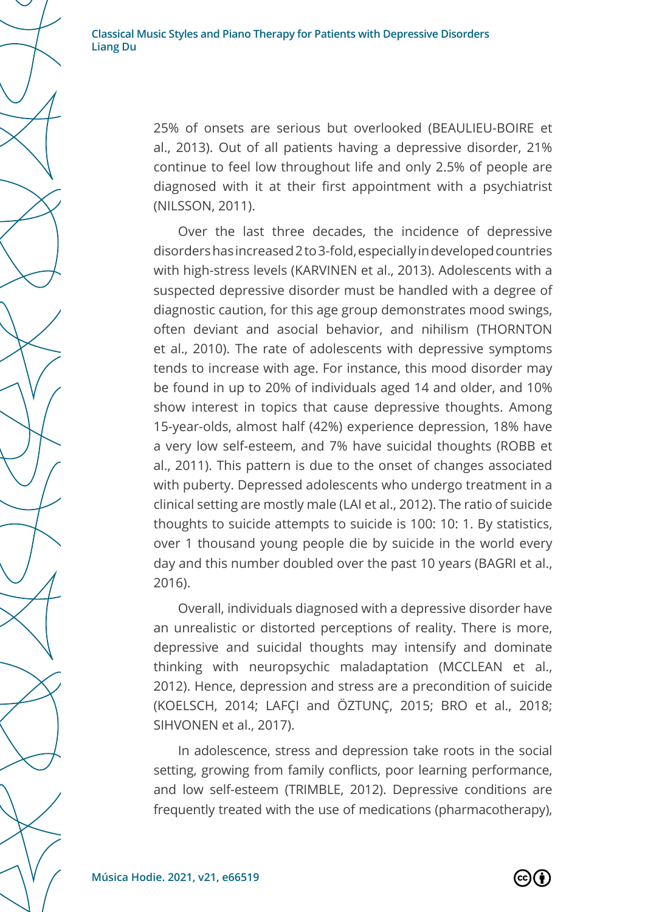> 25% of onsets are serious but overlooked (BEAULIEU-BOIRE et al., 2013). Out of all patients having a depressive disorder, 21% continue to feel low throughout life and only 2.5% of people are diagnosed with it at their first appointment with a psychiatrist (NILSSON, 2011).

> Over the last three decades, the incidence of depressive disorders has increased 2 to 3-fold, especially in developed countries with high-stress levels (KARVINEN et al., 2013). Adolescents with a suspected depressive disorder must be handled with a degree of diagnostic caution, for this age group demonstrates mood swings, often deviant and asocial behavior, and nihilism (THORNTON et al., 2010). The rate of adolescents with depressive symptoms tends to increase with age. For instance, this mood disorder may be found in up to 20% of individuals aged 14 and older, and 10% show interest in topics that cause depressive thoughts. Among 15-year-olds, almost half (42%) experience depression, 18% have a very low self-esteem, and 7% have suicidal thoughts (ROBB et al., 2011). This pattern is due to the onset of changes associated with puberty. Depressed adolescents who undergo treatment in a clinical setting are mostly male (LAI et al., 2012). The ratio of suicide thoughts to suicide attempts to suicide is 100: 10: 1. By statistics, over 1 thousand young people die by suicide in the world every day and this number doubled over the past 10 years (BAGRI et al., 2016).

> Overall, individuals diagnosed with a depressive disorder have an unrealistic or distorted perceptions of reality. There is more, depressive and suicidal thoughts may intensify and dominate thinking with neuropsychic maladaptation (MCCLEAN et al., 2012). Hence, depression and stress are a precondition of suicide (KOELSCH, 2014; LAFÇI and ÖZTUNÇ, 2015; BRO et al., 2018; SIHVONEN et al., 2017).

> In adolescence, stress and depression take roots in the social setting, growing from family conflicts, poor learning performance, and low self-esteem (TRIMBLE, 2012). Depressive conditions are frequently treated with the use of medications (pharmacotherapy),

 $(cc)$ (†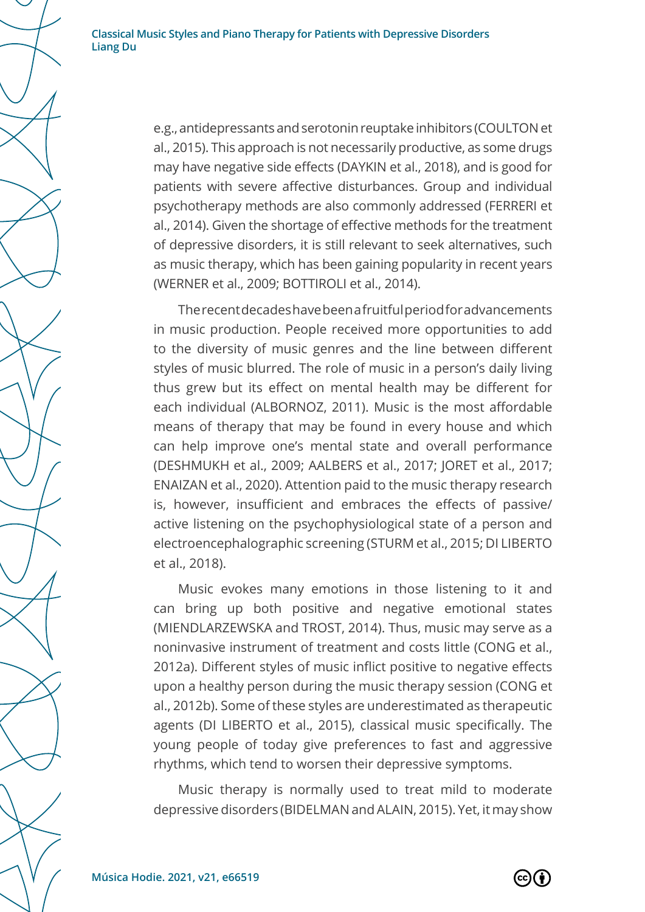e.g., antidepressants and serotonin reuptake inhibitors (COULTON et al., 2015). This approach is not necessarily productive, as some drugs may have negative side effects (DAYKIN et al., 2018), and is good for patients with severe affective disturbances. Group and individual psychotherapy methods are also commonly addressed (FERRERI et al., 2014). Given the shortage of effective methods for the treatment of depressive disorders, it is still relevant to seek alternatives, such as music therapy, which has been gaining popularity in recent years (WERNER et al., 2009; BOTTIROLI et al., 2014).

The recent decades have been a fruitful period for advancements in music production. People received more opportunities to add to the diversity of music genres and the line between different styles of music blurred. The role of music in a person's daily living thus grew but its effect on mental health may be different for each individual (ALBORNOZ, 2011). Music is the most affordable means of therapy that may be found in every house and which can help improve one's mental state and overall performance (DESHMUKH et al., 2009; AALBERS et al., 2017; JORET et al., 2017; ENAIZAN et al., 2020). Attention paid to the music therapy research is, however, insufficient and embraces the effects of passive/ active listening on the psychophysiological state of a person and electroencephalographic screening (STURM et al., 2015; DI LIBERTO et al., 2018).

Music evokes many emotions in those listening to it and can bring up both positive and negative emotional states (MIENDLARZEWSKA and TROST, 2014). Thus, music may serve as a noninvasive instrument of treatment and costs little (CONG et al., 2012a). Different styles of music inflict positive to negative effects upon a healthy person during the music therapy session (CONG et al., 2012b). Some of these styles are underestimated as therapeutic agents (DI LIBERTO et al., 2015), classical music specifically. The young people of today give preferences to fast and aggressive rhythms, which tend to worsen their depressive symptoms.

Music therapy is normally used to treat mild to moderate depressive disorders (BIDELMAN and ALAIN, 2015). Yet, it may show

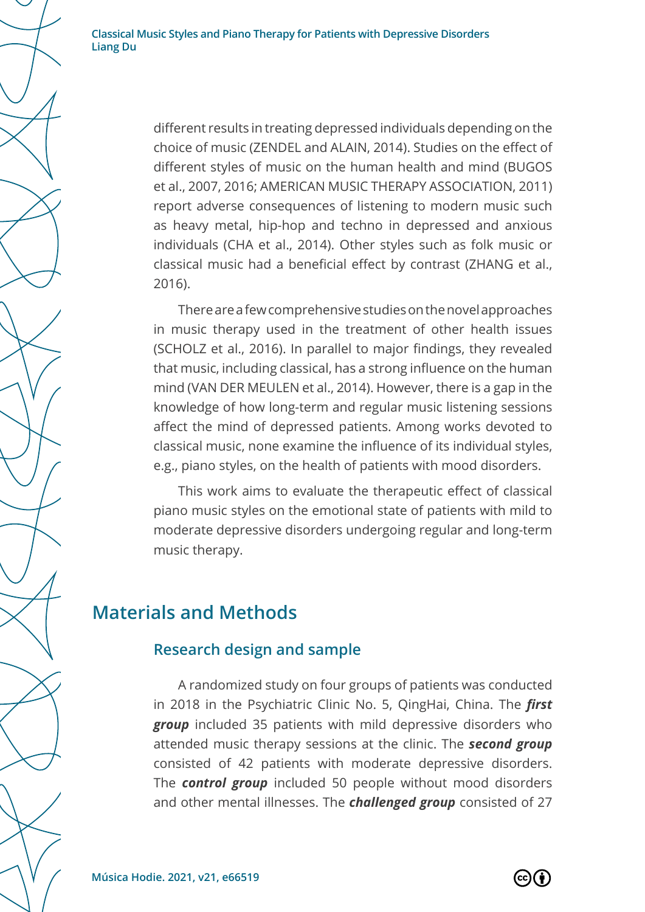> different results in treating depressed individuals depending on the choice of music (ZENDEL and ALAIN, 2014). Studies on the effect of different styles of music on the human health and mind (BUGOS et al., 2007, 2016; AMERICAN MUSIC THERAPY ASSOCIATION, 2011) report adverse consequences of listening to modern music such as heavy metal, hip-hop and techno in depressed and anxious individuals (CHA et al., 2014). Other styles such as folk music or classical music had a beneficial effect by contrast (ZHANG et al., 2016).

> There are a few comprehensive studies on the novel approaches in music therapy used in the treatment of other health issues (SCHOLZ et al., 2016). In parallel to major findings, they revealed that music, including classical, has a strong influence on the human mind (VAN DER MEULEN et al., 2014). However, there is a gap in the knowledge of how long-term and regular music listening sessions affect the mind of depressed patients. Among works devoted to classical music, none examine the influence of its individual styles, e.g., piano styles, on the health of patients with mood disorders.

> This work aims to evaluate the therapeutic effect of classical piano music styles on the emotional state of patients with mild to moderate depressive disorders undergoing regular and long-term music therapy.

#### **Materials and Methods**

#### **Research design and sample**

A randomized study on four groups of patients was conducted in 2018 in the Psychiatric Clinic No. 5, QingHai, China. The *first group* included 35 patients with mild depressive disorders who attended music therapy sessions at the clinic. The *second group* consisted of 42 patients with moderate depressive disorders. The *control group* included 50 people without mood disorders and other mental illnesses. The *challenged group* consisted of 27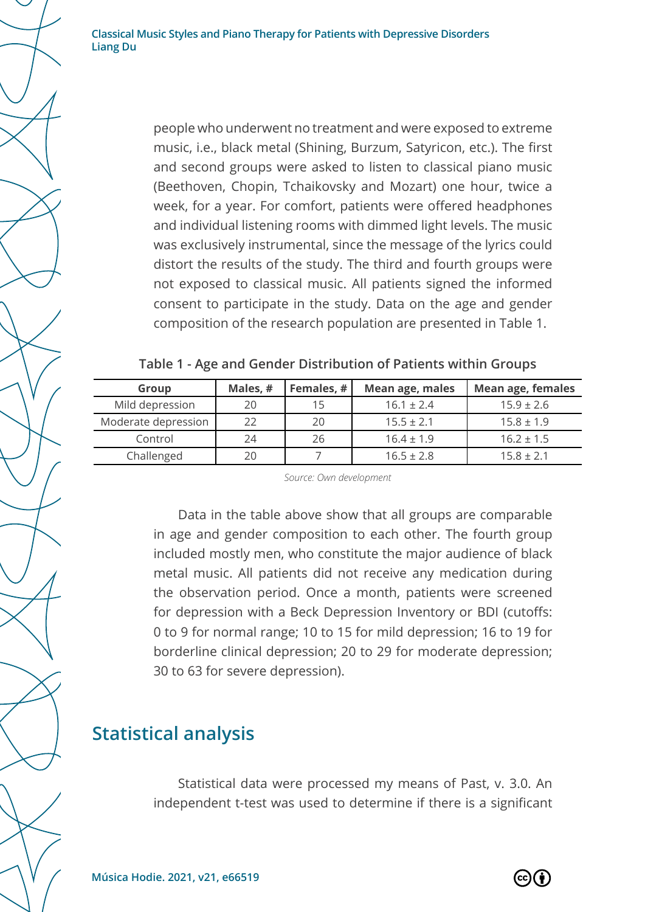> people who underwent no treatment and were exposed to extreme music, i.e., black metal (Shining, Burzum, Satyricon, etc.). The first and second groups were asked to listen to classical piano music (Beethoven, Chopin, Tchaikovsky and Mozart) one hour, twice a week, for a year. For comfort, patients were offered headphones and individual listening rooms with dimmed light levels. The music was exclusively instrumental, since the message of the lyrics could distort the results of the study. The third and fourth groups were not exposed to classical music. All patients signed the informed consent to participate in the study. Data on the age and gender composition of the research population are presented in Table 1.

| Table 1 - Age and Gender Distribution of Patients within Groups |  |  |  |  |  |
|-----------------------------------------------------------------|--|--|--|--|--|
|-----------------------------------------------------------------|--|--|--|--|--|

| Group               | Males, # | Females, # | Mean age, males | Mean age, females |
|---------------------|----------|------------|-----------------|-------------------|
| Mild depression     | 20       | 15         | $16.1 \pm 2.4$  | $15.9 \pm 2.6$    |
| Moderate depression | 22       | 20         | $15.5 \pm 2.1$  | $15.8 \pm 1.9$    |
| Control             | 24       | 26         | $16.4 \pm 1.9$  | $16.2 \pm 1.5$    |
| Challenged          | 20       |            | $16.5 \pm 2.8$  | $15.8 \pm 2.1$    |

*Source: Own development*

Data in the table above show that all groups are comparable in age and gender composition to each other. The fourth group included mostly men, who constitute the major audience of black metal music. All patients did not receive any medication during the observation period. Once a month, patients were screened for depression with a Beck Depression Inventory or BDI (cutoffs: 0 to 9 for normal range; 10 to 15 for mild depression; 16 to 19 for borderline clinical depression; 20 to 29 for moderate depression; 30 to 63 for severe depression).

### **Statistical analysis**

Statistical data were processed my means of Past, v. 3.0. An independent t-test was used to determine if there is a significant

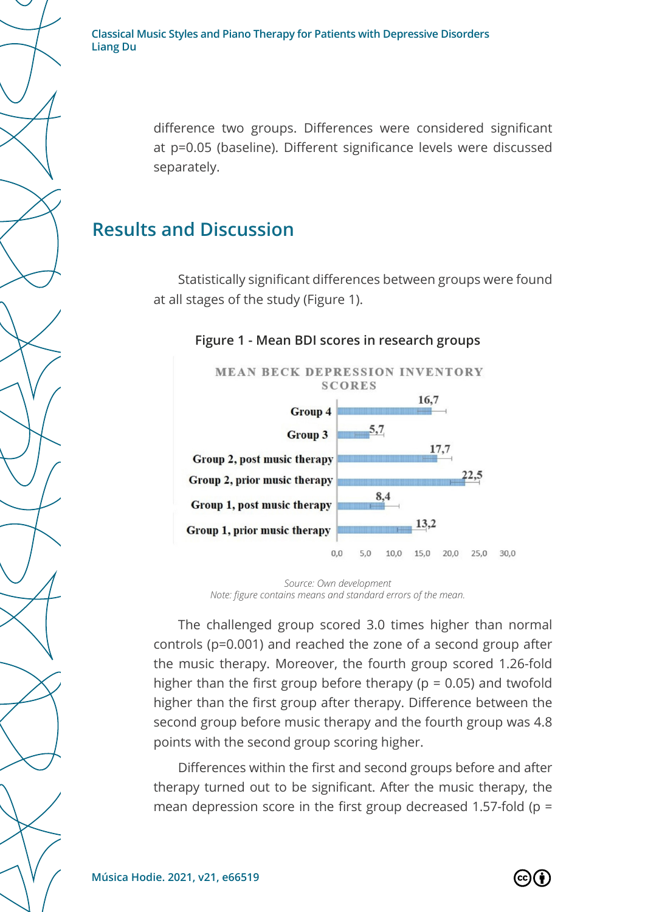difference two groups. Differences were considered significant at p=0.05 (baseline). Different significance levels were discussed separately.

# **Results and Discussion**

Statistically significant differences between groups were found at all stages of the study (Figure 1).

#### **Figure 1 - Mean BDI scores in research groups**



*Source: Own development Note: figure contains means and standard errors of the mean.*

The challenged group scored 3.0 times higher than normal controls (p=0.001) and reached the zone of a second group after the music therapy. Moreover, the fourth group scored 1.26-fold higher than the first group before therapy ( $p = 0.05$ ) and twofold higher than the first group after therapy. Difference between the second group before music therapy and the fourth group was 4.8 points with the second group scoring higher.

Differences within the first and second groups before and after therapy turned out to be significant. After the music therapy, the mean depression score in the first group decreased 1.57-fold ( $p =$ 

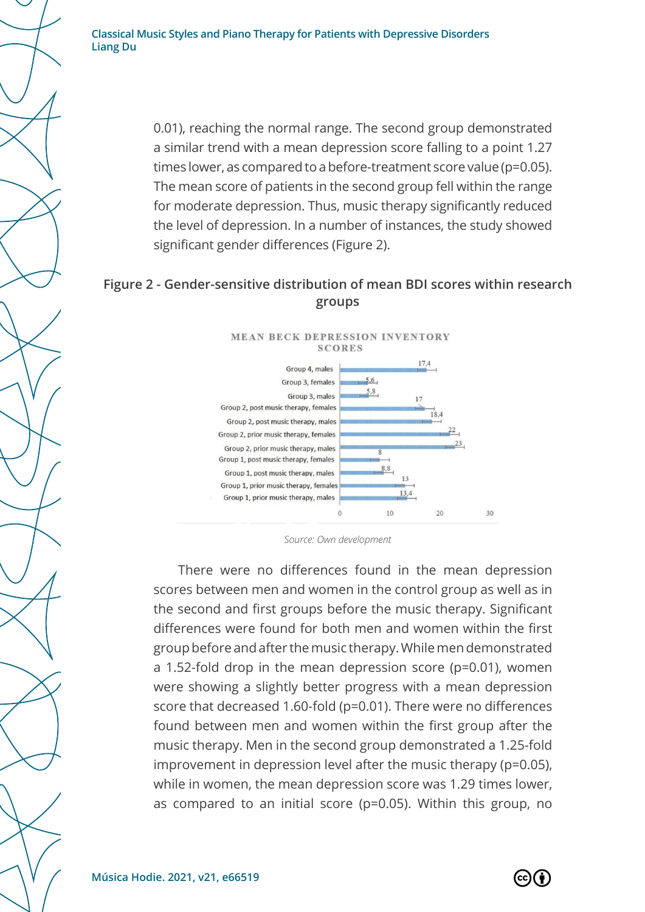> 0.01), reaching the normal range. The second group demonstrated a similar trend with a mean depression score falling to a point 1.27 times lower, as compared to a before-treatment score value (p=0.05). The mean score of patients in the second group fell within the range for moderate depression. Thus, music therapy significantly reduced the level of depression. In a number of instances, the study showed significant gender differences (Figure 2).

#### **Figure 2 - Gender-sensitive distribution of mean BDI scores within research groups**



*Source: Own development*

There were no differences found in the mean depression scores between men and women in the control group as well as in the second and first groups before the music therapy. Significant differences were found for both men and women within the first group before and after the music therapy. While men demonstrated a 1.52-fold drop in the mean depression score (p=0.01), women were showing a slightly better progress with a mean depression score that decreased 1.60-fold (p=0.01). There were no differences found between men and women within the first group after the music therapy. Men in the second group demonstrated a 1.25-fold improvement in depression level after the music therapy (p=0.05), while in women, the mean depression score was 1.29 times lower, as compared to an initial score (p=0.05). Within this group, no

 $\left( \text{cc}\right)$  (  $\dot{\text{r}}$  )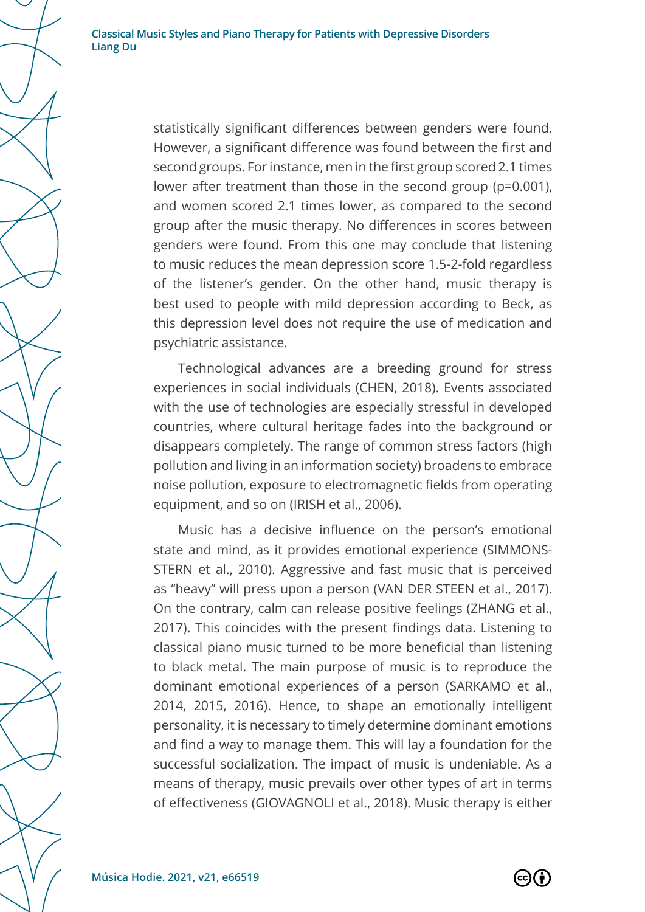statistically significant differences between genders were found. However, a significant difference was found between the first and second groups. For instance, men in the first group scored 2.1 times lower after treatment than those in the second group (p=0.001), and women scored 2.1 times lower, as compared to the second group after the music therapy. No differences in scores between genders were found. From this one may conclude that listening to music reduces the mean depression score 1.5-2-fold regardless of the listener's gender. On the other hand, music therapy is best used to people with mild depression according to Beck, as this depression level does not require the use of medication and psychiatric assistance.

Technological advances are a breeding ground for stress experiences in social individuals (CHEN, 2018). Events associated with the use of technologies are especially stressful in developed countries, where cultural heritage fades into the background or disappears completely. The range of common stress factors (high pollution and living in an information society) broadens to embrace noise pollution, exposure to electromagnetic fields from operating equipment, and so on (IRISH et al., 2006).

Music has a decisive influence on the person's emotional state and mind, as it provides emotional experience (SIMMONS-STERN et al., 2010). Aggressive and fast music that is perceived as "heavy" will press upon a person (VAN DER STEEN et al., 2017). On the contrary, calm can release positive feelings (ZHANG et al., 2017). This coincides with the present findings data. Listening to classical piano music turned to be more beneficial than listening to black metal. The main purpose of music is to reproduce the dominant emotional experiences of a person (SARKAMO et al., 2014, 2015, 2016). Hence, to shape an emotionally intelligent personality, it is necessary to timely determine dominant emotions and find a way to manage them. This will lay a foundation for the successful socialization. The impact of music is undeniable. As a means of therapy, music prevails over other types of art in terms of effectiveness (GIOVAGNOLI et al., 2018). Music therapy is either

 $\left( \operatorname*{cc}\right) \left( \cdot\right)$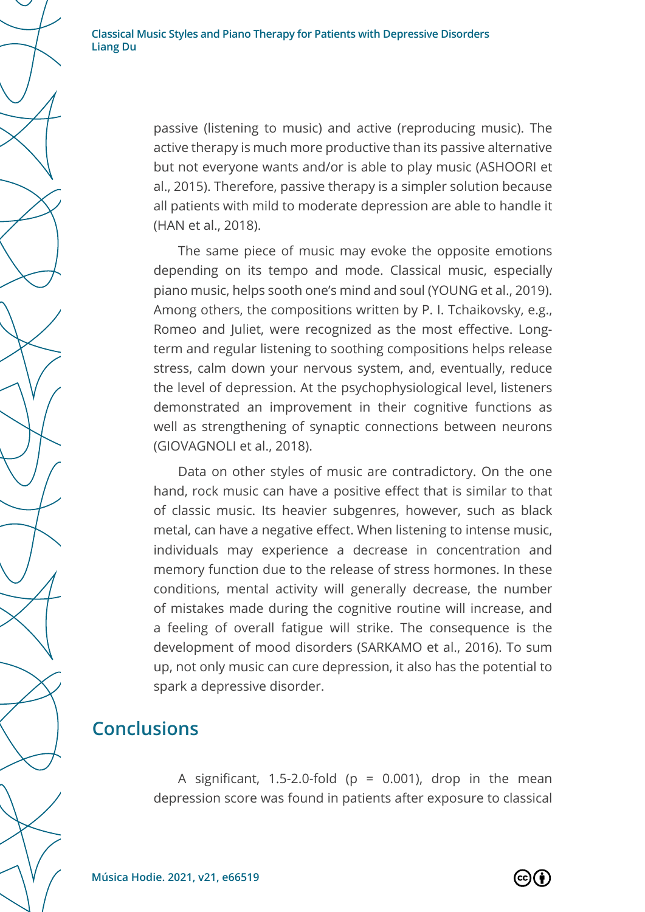> passive (listening to music) and active (reproducing music). The active therapy is much more productive than its passive alternative but not everyone wants and/or is able to play music (ASHOORI et al., 2015). Therefore, passive therapy is a simpler solution because all patients with mild to moderate depression are able to handle it (HAN et al., 2018).

> The same piece of music may evoke the opposite emotions depending on its tempo and mode. Classical music, especially piano music, helps sooth one's mind and soul (YOUNG et al., 2019). Among others, the compositions written by P. I. Tchaikovsky, e.g., Romeo and Juliet, were recognized as the most effective. Longterm and regular listening to soothing compositions helps release stress, calm down your nervous system, and, eventually, reduce the level of depression. At the psychophysiological level, listeners demonstrated an improvement in their cognitive functions as well as strengthening of synaptic connections between neurons (GIOVAGNOLI et al., 2018).

> Data on other styles of music are contradictory. On the one hand, rock music can have a positive effect that is similar to that of classic music. Its heavier subgenres, however, such as black metal, can have a negative effect. When listening to intense music, individuals may experience a decrease in concentration and memory function due to the release of stress hormones. In these conditions, mental activity will generally decrease, the number of mistakes made during the cognitive routine will increase, and a feeling of overall fatigue will strike. The consequence is the development of mood disorders (SARKAMO et al., 2016). To sum up, not only music can cure depression, it also has the potential to spark a depressive disorder.

#### **Conclusions**

A significant, 1.5-2.0-fold ( $p = 0.001$ ), drop in the mean depression score was found in patients after exposure to classical

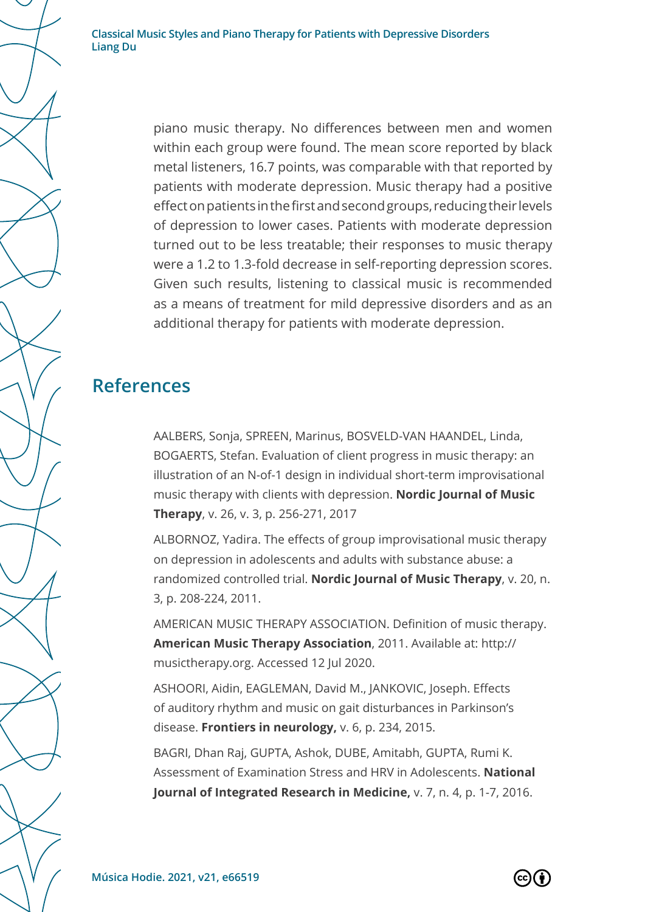> piano music therapy. No differences between men and women within each group were found. The mean score reported by black metal listeners, 16.7 points, was comparable with that reported by patients with moderate depression. Music therapy had a positive effect on patients in the first and second groups, reducing their levels of depression to lower cases. Patients with moderate depression turned out to be less treatable; their responses to music therapy were a 1.2 to 1.3-fold decrease in self-reporting depression scores. Given such results, listening to classical music is recommended as a means of treatment for mild depressive disorders and as an additional therapy for patients with moderate depression.

## **References**

AALBERS, Sonja, SPREEN, Marinus, BOSVELD-VAN HAANDEL, Linda, BOGAERTS, Stefan. Evaluation of client progress in music therapy: an illustration of an N-of-1 design in individual short-term improvisational music therapy with clients with depression. **Nordic Journal of Music Therapy**, v. 26, v. 3, p. 256-271, 2017

ALBORNOZ, Yadira. The effects of group improvisational music therapy on depression in adolescents and adults with substance abuse: a randomized controlled trial. **Nordic Journal of Music Therapy**, v. 20, n. 3, p. 208-224, 2011.

AMERICAN MUSIC THERAPY ASSOCIATION. Definition of music therapy. **American Music Therapy Association**, 2011. Available at: http:// musictherapy.org. Accessed 12 Jul 2020.

ASHOORI, Aidin, EAGLEMAN, David M., JANKOVIC, Joseph. Effects of auditory rhythm and music on gait disturbances in Parkinson's disease. **Frontiers in neurology,** v. 6, p. 234, 2015.

BAGRI, Dhan Raj, GUPTA, Ashok, DUBE, Amitabh, GUPTA, Rumi K. Assessment of Examination Stress and HRV in Adolescents. **National Journal of Integrated Research in Medicine,** v. 7, n. 4, p. 1-7, 2016.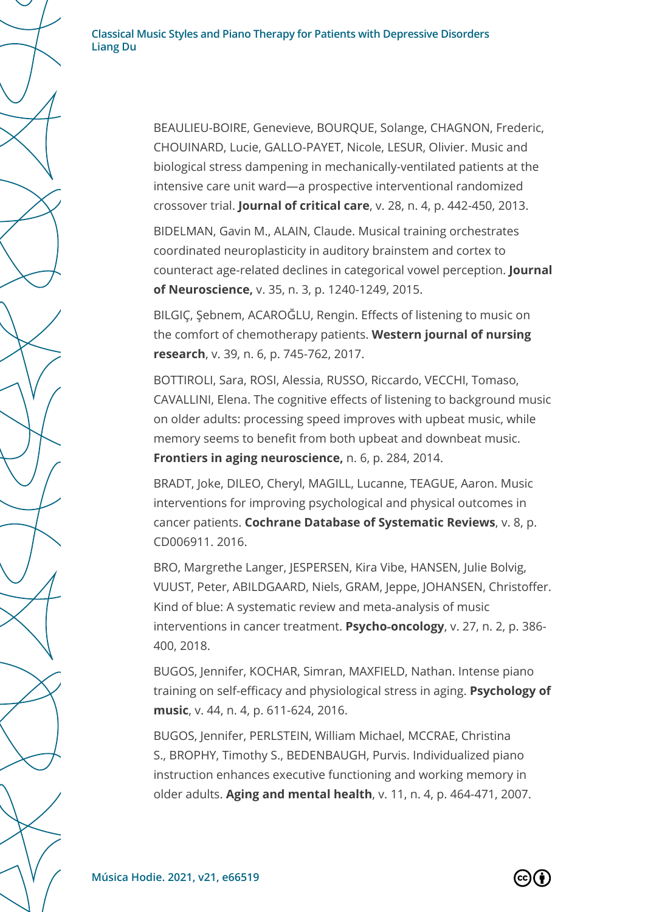> BEAULIEU-BOIRE, Genevieve, BOURQUE, Solange, CHAGNON, Frederic, CHOUINARD, Lucie, GALLO-PAYET, Nicole, LESUR, Olivier. Music and biological stress dampening in mechanically-ventilated patients at the intensive care unit ward—a prospective interventional randomized crossover trial. **Journal of critical care**, v. 28, n. 4, p. 442-450, 2013.

BIDELMAN, Gavin M., ALAIN, Claude. Musical training orchestrates coordinated neuroplasticity in auditory brainstem and cortex to counteract age-related declines in categorical vowel perception. **Journal of Neuroscience,** v. 35, n. 3, p. 1240-1249, 2015.

BILGIÇ, Şebnem, ACAROĞLU, Rengin. Effects of listening to music on the comfort of chemotherapy patients. **Western journal of nursing research**, v. 39, n. 6, p. 745-762, 2017.

BOTTIROLI, Sara, ROSI, Alessia, RUSSO, Riccardo, VECCHI, Tomaso, CAVALLINI, Elena. The cognitive effects of listening to background music on older adults: processing speed improves with upbeat music, while memory seems to benefit from both upbeat and downbeat music. **Frontiers in aging neuroscience,** n. 6, p. 284, 2014.

BRADT, Joke, DILEO, Cheryl, MAGILL, Lucanne, TEAGUE, Aaron. Music interventions for improving psychological and physical outcomes in cancer patients. **Cochrane Database of Systematic Reviews**, v. 8, p. CD006911. 2016.

BRO, Margrethe Langer, JESPERSEN, Kira Vibe, HANSEN, Julie Bolvig, VUUST, Peter, ABILDGAARD, Niels, GRAM, Jeppe, JOHANSEN, Christoffer. Kind of blue: A systematic review and meta-analysis of music interventions in cancer treatment. **Psycho‐oncology**, v. 27, n. 2, p. 386- 400, 2018.

BUGOS, Jennifer, KOCHAR, Simran, MAXFIELD, Nathan. Intense piano training on self-efficacy and physiological stress in aging. **Psychology of music**, v. 44, n. 4, p. 611-624, 2016.

BUGOS, Jennifer, PERLSTEIN, William Michael, MCCRAE, Christina S., BROPHY, Timothy S., BEDENBAUGH, Purvis. Individualized piano instruction enhances executive functioning and working memory in older adults. **Aging and mental health**, v. 11, n. 4, p. 464-471, 2007.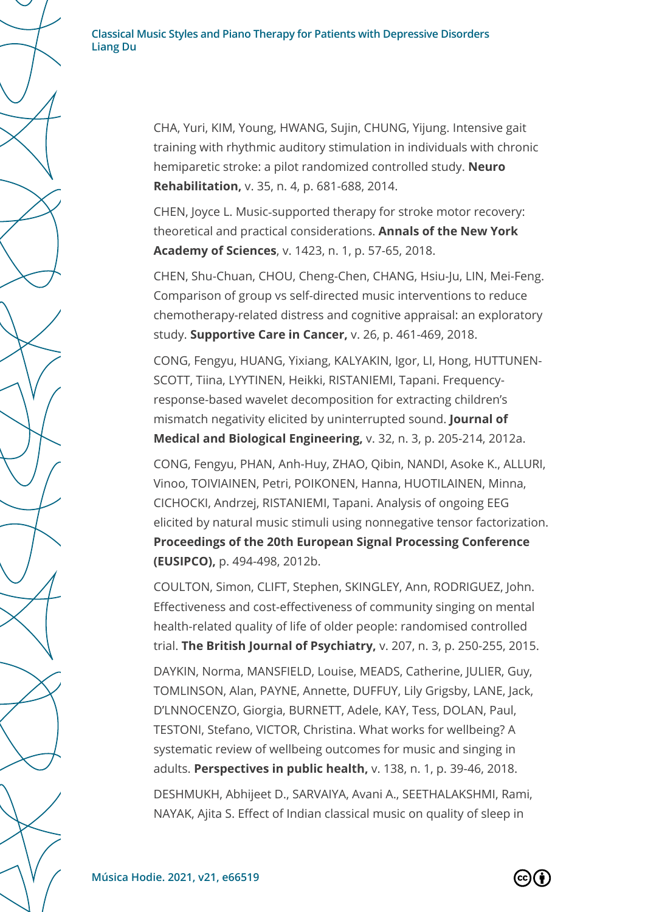CHA, Yuri, KIM, Young, HWANG, Sujin, CHUNG, Yijung. Intensive gait training with rhythmic auditory stimulation in individuals with chronic hemiparetic stroke: a pilot randomized controlled study. **Neuro Rehabilitation,** v. 35, n. 4, p. 681-688, 2014.

CHEN, Joyce L. Music‐supported therapy for stroke motor recovery: theoretical and practical considerations. **Annals of the New York Academy of Sciences**, v. 1423, n. 1, p. 57-65, 2018.

CHEN, Shu-Chuan, CHOU, Cheng-Chen, CHANG, Hsiu-Ju, LIN, Mei-Feng. Comparison of group vs self-directed music interventions to reduce chemotherapy-related distress and cognitive appraisal: an exploratory study. **Supportive Care in Cancer,** v. 26, p. 461-469, 2018.

CONG, Fengyu, HUANG, Yixiang, KALYAKIN, Igor, LI, Hong, HUTTUNEN-SCOTT, Tiina, LYYTINEN, Heikki, RISTANIEMI, Tapani. Frequencyresponse-based wavelet decomposition for extracting children's mismatch negativity elicited by uninterrupted sound. **Journal of Medical and Biological Engineering,** v. 32, n. 3, p. 205-214, 2012a.

CONG, Fengyu, PHAN, Anh-Huy, ZHAO, Qibin, NANDI, Asoke K., ALLURI, Vinoo, TOIVIAINEN, Petri, POIKONEN, Hanna, HUOTILAINEN, Minna, CICHOCKI, Andrzej, RISTANIEMI, Tapani. Analysis of ongoing EEG elicited by natural music stimuli using nonnegative tensor factorization. **Proceedings of the 20th European Signal Processing Conference (EUSIPCO),** p. 494-498, 2012b.

COULTON, Simon, CLIFT, Stephen, SKINGLEY, Ann, RODRIGUEZ, John. Effectiveness and cost-effectiveness of community singing on mental health-related quality of life of older people: randomised controlled trial. **The British Journal of Psychiatry,** v. 207, n. 3, p. 250-255, 2015.

DAYKIN, Norma, MANSFIELD, Louise, MEADS, Catherine, JULIER, Guy, TOMLINSON, Alan, PAYNE, Annette, DUFFUY, Lily Grigsby, LANE, Jack, D'LNNOCENZO, Giorgia, BURNETT, Adele, KAY, Tess, DOLAN, Paul, TESTONI, Stefano, VICTOR, Christina. What works for wellbeing? A systematic review of wellbeing outcomes for music and singing in adults. **Perspectives in public health,** v. 138, n. 1, p. 39-46, 2018.

DESHMUKH, Abhijeet D., SARVAIYA, Avani A., SEETHALAKSHMI, Rami, NAYAK, Ajita S. Effect of Indian classical music on quality of sleep in

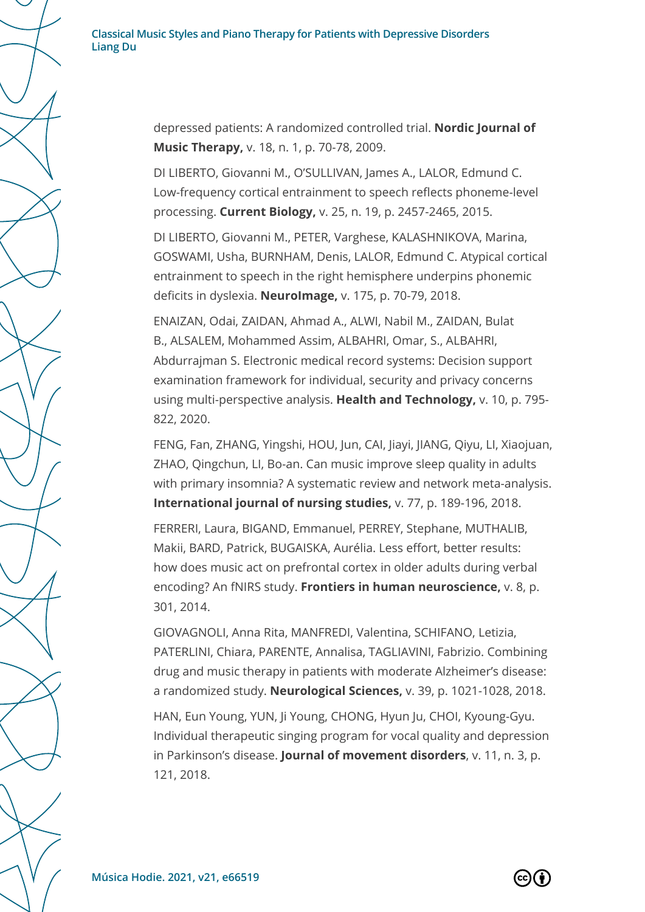> depressed patients: A randomized controlled trial. **Nordic Journal of Music Therapy,** v. 18, n. 1, p. 70-78, 2009.

> DI LIBERTO, Giovanni M., O'SULLIVAN, James A., LALOR, Edmund C. Low-frequency cortical entrainment to speech reflects phoneme-level processing. **Current Biology,** v. 25, n. 19, p. 2457-2465, 2015.

DI LIBERTO, Giovanni M., PETER, Varghese, KALASHNIKOVA, Marina, GOSWAMI, Usha, BURNHAM, Denis, LALOR, Edmund C. Atypical cortical entrainment to speech in the right hemisphere underpins phonemic deficits in dyslexia. **NeuroImage,** v. 175, p. 70-79, 2018.

ENAIZAN, Odai, ZAIDAN, Ahmad A., ALWI, Nabil M., ZAIDAN, Bulat B., ALSALEM, Mohammed Assim, ALBAHRI, Omar, S., ALBAHRI, Abdurrajman S. Electronic medical record systems: Decision support examination framework for individual, security and privacy concerns using multi-perspective analysis. **Health and Technology,** v. 10, p. 795- 822, 2020.

FENG, Fan, ZHANG, Yingshi, HOU, Jun, CAI, Jiayi, JIANG, Qiyu, LI, Xiaojuan, ZHAO, Qingchun, LI, Bo-an. Can music improve sleep quality in adults with primary insomnia? A systematic review and network meta-analysis. **International journal of nursing studies,** v. 77, p. 189-196, 2018.

FERRERI, Laura, BIGAND, Emmanuel, PERREY, Stephane, MUTHALIB, Makii, BARD, Patrick, BUGAISKA, Aurélia. Less effort, better results: how does music act on prefrontal cortex in older adults during verbal encoding? An fNIRS study. **Frontiers in human neuroscience,** v. 8, p. 301, 2014.

GIOVAGNOLI, Anna Rita, MANFREDI, Valentina, SCHIFANO, Letizia, PATERLINI, Chiara, PARENTE, Annalisa, TAGLIAVINI, Fabrizio. Combining drug and music therapy in patients with moderate Alzheimer's disease: a randomized study. **Neurological Sciences,** v. 39, p. 1021-1028, 2018.

HAN, Eun Young, YUN, Ji Young, CHONG, Hyun Ju, CHOI, Kyoung-Gyu. Individual therapeutic singing program for vocal quality and depression in Parkinson's disease. **Journal of movement disorders**, v. 11, n. 3, p. 121, 2018.

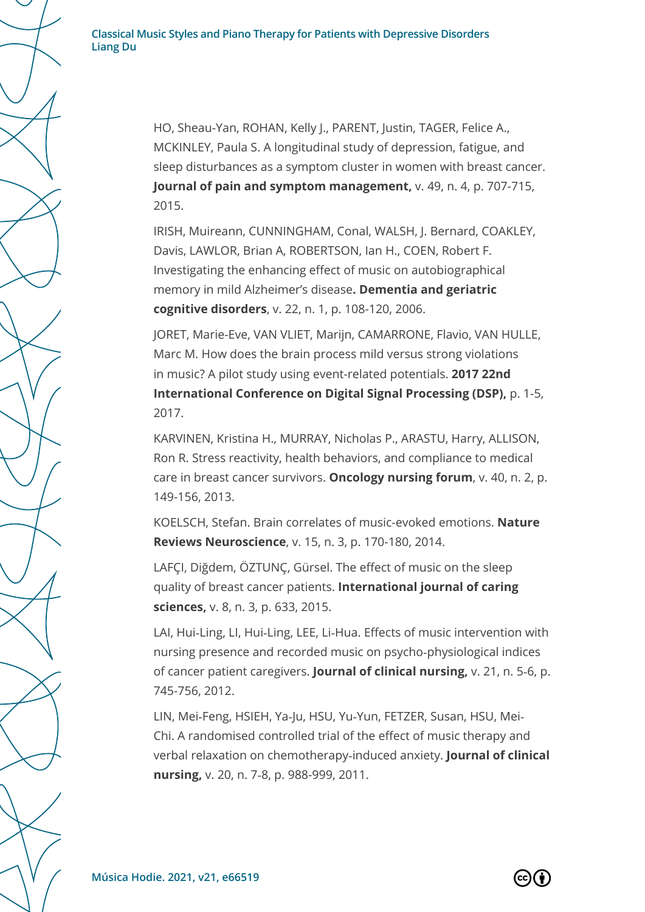HO, Sheau-Yan, ROHAN, Kelly J., PARENT, Justin, TAGER, Felice A., MCKINLEY, Paula S. A longitudinal study of depression, fatigue, and sleep disturbances as a symptom cluster in women with breast cancer. **Journal of pain and symptom management,** v. 49, n. 4, p. 707-715, 2015.

IRISH, Muireann, CUNNINGHAM, Conal, WALSH, J. Bernard, COAKLEY, Davis, LAWLOR, Brian A, ROBERTSON, Ian H., COEN, Robert F. Investigating the enhancing effect of music on autobiographical memory in mild Alzheimer's disease**. Dementia and geriatric cognitive disorders**, v. 22, n. 1, p. 108-120, 2006.

JORET, Marie-Eve, VAN VLIET, Marijn, CAMARRONE, Flavio, VAN HULLE, Marc M. How does the brain process mild versus strong violations in music? A pilot study using event-related potentials. **2017 22nd International Conference on Digital Signal Processing (DSP),** p. 1-5, 2017.

KARVINEN, Kristina H., MURRAY, Nicholas P., ARASTU, Harry, ALLISON, Ron R. Stress reactivity, health behaviors, and compliance to medical care in breast cancer survivors. **Oncology nursing forum**, v. 40, n. 2, p. 149-156, 2013.

KOELSCH, Stefan. Brain correlates of music-evoked emotions. **Nature Reviews Neuroscience**, v. 15, n. 3, p. 170-180, 2014.

LAFÇI, Diğdem, ÖZTUNÇ, Gürsel. The effect of music on the sleep quality of breast cancer patients. **International journal of caring sciences,** v. 8, n. 3, p. 633, 2015.

LAI, Hui-Ling, LI, Hui-Ling, LEE, Li-Hua. Effects of music intervention with nursing presence and recorded music on psycho‐physiological indices of cancer patient caregivers. **Journal of clinical nursing,** v. 21, n. 5‐6, p. 745-756, 2012.

LIN, Mei‐Feng, HSIEH, Ya‐Ju, HSU, Yu‐Yun, FETZER, Susan, HSU, Mei‐ Chi. A randomised controlled trial of the effect of music therapy and verbal relaxation on chemotherapy‐induced anxiety. **Journal of clinical nursing,** v. 20, n. 7‐8, p. 988-999, 2011.

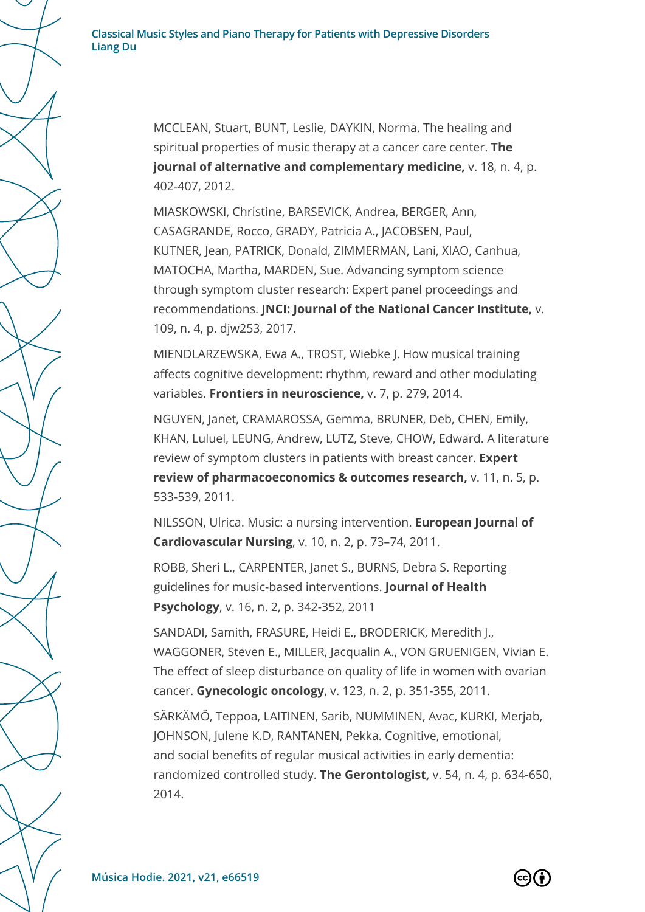> MCCLEAN, Stuart, BUNT, Leslie, DAYKIN, Norma. The healing and spiritual properties of music therapy at a cancer care center. **The journal of alternative and complementary medicine,** v. 18, n. 4, p. 402-407, 2012.

MIASKOWSKI, Christine, BARSEVICK, Andrea, BERGER, Ann, CASAGRANDE, Rocco, GRADY, Patricia A., JACOBSEN, Paul, KUTNER, Jean, PATRICK, Donald, ZIMMERMAN, Lani, XIAO, Canhua, MATOCHA, Martha, MARDEN, Sue. Advancing symptom science through symptom cluster research: Expert panel proceedings and recommendations. **JNCI: Journal of the National Cancer Institute,** v. 109, n. 4, p. djw253, 2017.

MIENDLARZEWSKA, Ewa A., TROST, Wiebke J. How musical training affects cognitive development: rhythm, reward and other modulating variables. **Frontiers in neuroscience,** v. 7, p. 279, 2014.

NGUYEN, Janet, CRAMAROSSA, Gemma, BRUNER, Deb, CHEN, Emily, KHAN, Luluel, LEUNG, Andrew, LUTZ, Steve, CHOW, Edward. A literature review of symptom clusters in patients with breast cancer. **Expert review of pharmacoeconomics & outcomes research,** v. 11, n. 5, p. 533-539, 2011.

NILSSON, Ulrica. Music: a nursing intervention. **European Journal of Cardiovascular Nursing**, v. 10, n. 2, p. 73–74, 2011.

ROBB, Sheri L., CARPENTER, Janet S., BURNS, Debra S. Reporting guidelines for music-based interventions. **Journal of Health Psychology**, v. 16, n. 2, p. 342-352, 2011

SANDADI, Samith, FRASURE, Heidi E., BRODERICK, Meredith J., WAGGONER, Steven E., MILLER, Jacqualin A., VON GRUENIGEN, Vivian E. The effect of sleep disturbance on quality of life in women with ovarian cancer. **Gynecologic oncology**, v. 123, n. 2, p. 351-355, 2011.

SÄRKÄMÖ, Teppoa, LAITINEN, Sarib, NUMMINEN, Avac, KURKI, Merjab, JOHNSON, Julene K.D, RANTANEN, Pekka. Cognitive, emotional, and social benefits of regular musical activities in early dementia: randomized controlled study. **The Gerontologist,** v. 54, n. 4, p. 634-650, 2014.

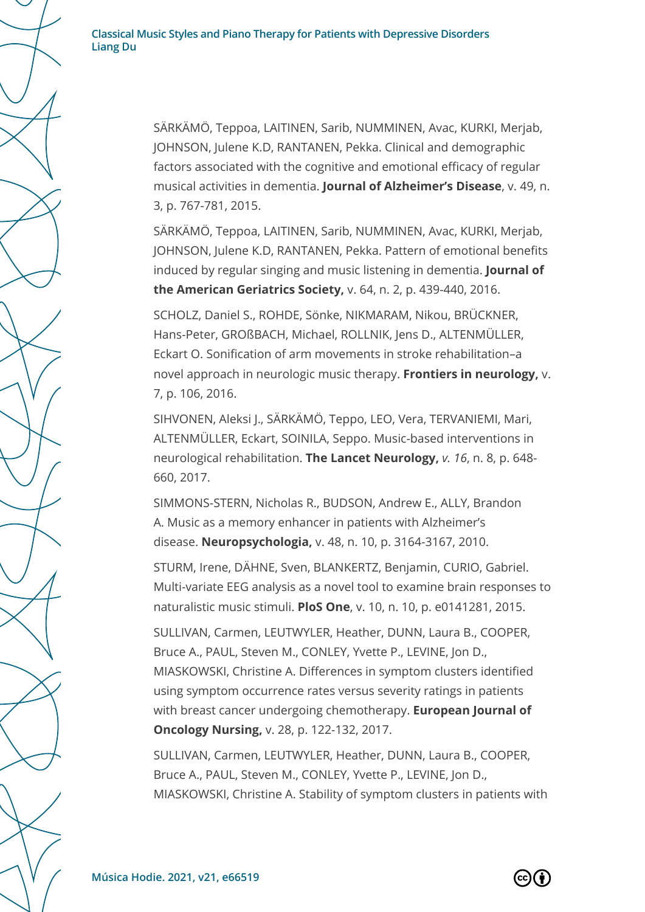SÄRKÄMÖ, Teppoa, LAITINEN, Sarib, NUMMINEN, Avac, KURKI, Merjab, JOHNSON, Julene K.D, RANTANEN, Pekka. Clinical and demographic factors associated with the cognitive and emotional efficacy of regular musical activities in dementia. **Journal of Alzheimer's Disease**, v. 49, n. 3, p. 767-781, 2015.

SÄRKÄMÖ, Teppoa, LAITINEN, Sarib, NUMMINEN, Avac, KURKI, Merjab, JOHNSON, Julene K.D, RANTANEN, Pekka. Pattern of emotional benefits induced by regular singing and music listening in dementia. **Journal of the American Geriatrics Society,** v. 64, n. 2, p. 439-440, 2016.

SCHOLZ, Daniel S., ROHDE, Sönke, NIKMARAM, Nikou, BRÜCKNER, Hans-Peter, GROßBACH, Michael, ROLLNIK, Jens D., ALTENMÜLLER, Eckart O. Sonification of arm movements in stroke rehabilitation–a novel approach in neurologic music therapy. **Frontiers in neurology,** v. 7, p. 106, 2016.

SIHVONEN, Aleksi J., SÄRKÄMÖ, Teppo, LEO, Vera, TERVANIEMI, Mari, ALTENMÜLLER, Eckart, SOINILA, Seppo. Music-based interventions in neurological rehabilitation. **The Lancet Neurology,** *v. 16*, n. 8, p. 648- 660, 2017.

SIMMONS-STERN, Nicholas R., BUDSON, Andrew E., ALLY, Brandon A. Music as a memory enhancer in patients with Alzheimer's disease. **Neuropsychologia,** v. 48, n. 10, p. 3164-3167, 2010.

STURM, Irene, DÄHNE, Sven, BLANKERTZ, Benjamin, CURIO, Gabriel. Multi-variate EEG analysis as a novel tool to examine brain responses to naturalistic music stimuli. **PloS One**, v. 10, n. 10, p. e0141281, 2015.

SULLIVAN, Carmen, LEUTWYLER, Heather, DUNN, Laura B., COOPER, Bruce A., PAUL, Steven M., CONLEY, Yvette P., LEVINE, Jon D., MIASKOWSKI, Christine A. Differences in symptom clusters identified using symptom occurrence rates versus severity ratings in patients with breast cancer undergoing chemotherapy. **European Journal of Oncology Nursing,** v. 28, p. 122-132, 2017.

SULLIVAN, Carmen, LEUTWYLER, Heather, DUNN, Laura B., COOPER, Bruce A., PAUL, Steven M., CONLEY, Yvette P., LEVINE, Jon D., MIASKOWSKI, Christine A. Stability of symptom clusters in patients with

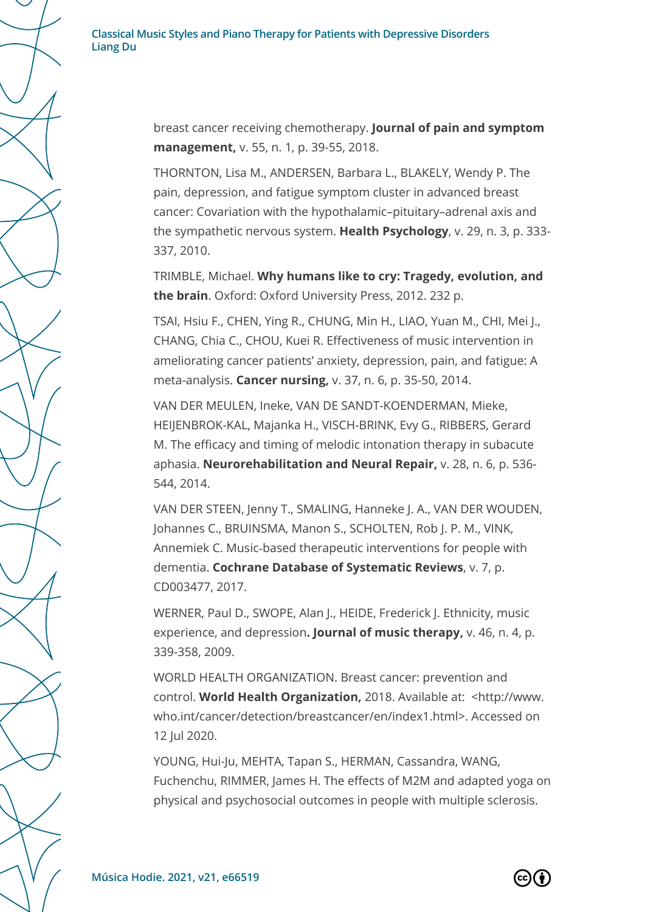> breast cancer receiving chemotherapy. **Journal of pain and symptom management,** v. 55, n. 1, p. 39-55, 2018.

THORNTON, Lisa M., ANDERSEN, Barbara L., BLAKELY, Wendy P. The pain, depression, and fatigue symptom cluster in advanced breast cancer: Covariation with the hypothalamic–pituitary–adrenal axis and the sympathetic nervous system. **Health Psychology**, v. 29, n. 3, p. 333- 337, 2010.

TRIMBLE, Michael. **Why humans like to cry: Tragedy, evolution, and the brain**. Oxford: Oxford University Press, 2012. 232 p.

TSAI, Hsiu F., CHEN, Ying R., CHUNG, Min H., LIAO, Yuan M., CHI, Mei J., CHANG, Chia C., CHOU, Kuei R. Effectiveness of music intervention in ameliorating cancer patients' anxiety, depression, pain, and fatigue: A meta-analysis. **Cancer nursing,** v. 37, n. 6, p. 35-50, 2014.

VAN DER MEULEN, Ineke, VAN DE SANDT-KOENDERMAN, Mieke, HEIJENBROK-KAL, Majanka H., VISCH-BRINK, Evy G., RIBBERS, Gerard M. The efficacy and timing of melodic intonation therapy in subacute aphasia. **Neurorehabilitation and Neural Repair,** v. 28, n. 6, p. 536- 544, 2014.

VAN DER STEEN, Jenny T., SMALING, Hanneke J. A., VAN DER WOUDEN, Johannes C., BRUINSMA, Manon S., SCHOLTEN, Rob J. P. M., VINK, Annemiek C. Music‐based therapeutic interventions for people with dementia. **Cochrane Database of Systematic Reviews**, v. 7, p. CD003477, 2017.

WERNER, Paul D., SWOPE, Alan J., HEIDE, Frederick J. Ethnicity, music experience, and depression**. Journal of music therapy,** v. 46, n. 4, p. 339-358, 2009.

WORLD HEALTH ORGANIZATION. Breast cancer: prevention and control. **World Health Organization,** 2018. Available at: <http://www. who.int/cancer/detection/breastcancer/en/index1.html>. Accessed on 12 Jul 2020.

YOUNG, Hui-Ju, MEHTA, Tapan S., HERMAN, Cassandra, WANG, Fuchenchu, RIMMER, James H. The effects of M2M and adapted yoga on physical and psychosocial outcomes in people with multiple sclerosis.